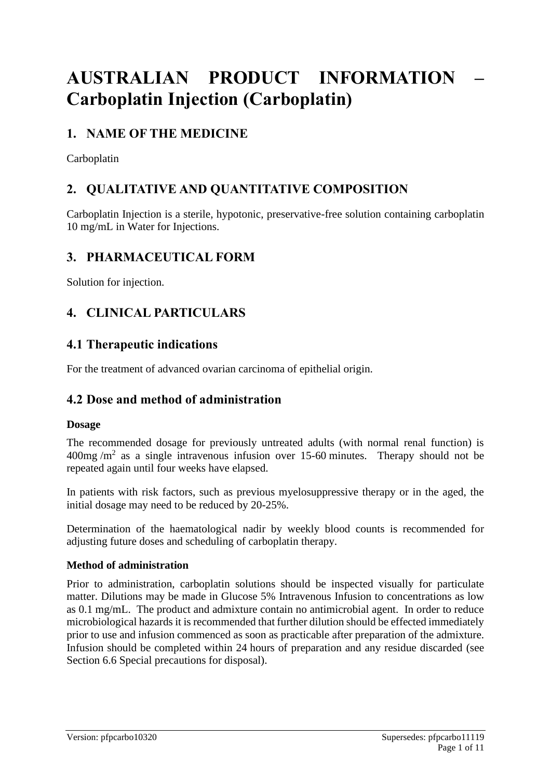# **AUSTRALIAN PRODUCT INFORMATION – Carboplatin Injection (Carboplatin)**

# **1. NAME OF THE MEDICINE**

Carboplatin

# **2. QUALITATIVE AND QUANTITATIVE COMPOSITION**

Carboplatin Injection is a sterile, hypotonic, preservative-free solution containing carboplatin 10 mg/mL in Water for Injections.

# **3. PHARMACEUTICAL FORM**

Solution for injection.

# **4. CLINICAL PARTICULARS**

### **4.1 Therapeutic indications**

For the treatment of advanced ovarian carcinoma of epithelial origin.

# **4.2 Dose and method of administration**

#### **Dosage**

The recommended dosage for previously untreated adults (with normal renal function) is  $400$ mg /m<sup>2</sup> as a single intravenous infusion over 15-60 minutes. Therapy should not be repeated again until four weeks have elapsed.

In patients with risk factors, such as previous myelosuppressive therapy or in the aged, the initial dosage may need to be reduced by 20-25%.

Determination of the haematological nadir by weekly blood counts is recommended for adjusting future doses and scheduling of carboplatin therapy.

#### **Method of administration**

Prior to administration, carboplatin solutions should be inspected visually for particulate matter. Dilutions may be made in Glucose 5% Intravenous Infusion to concentrations as low as 0.1 mg/mL. The product and admixture contain no antimicrobial agent. In order to reduce microbiological hazards it is recommended that further dilution should be effected immediately prior to use and infusion commenced as soon as practicable after preparation of the admixture. Infusion should be completed within 24 hours of preparation and any residue discarded (see Section 6.6 Special precautions for disposal).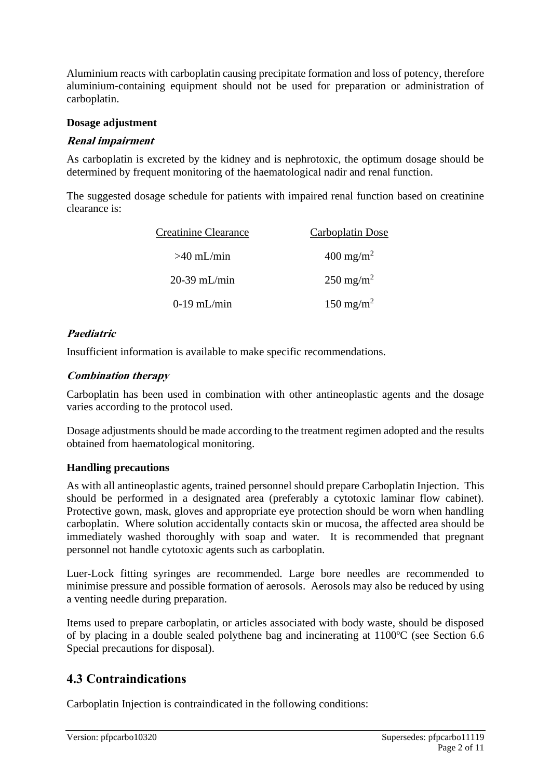Aluminium reacts with carboplatin causing precipitate formation and loss of potency, therefore aluminium-containing equipment should not be used for preparation or administration of carboplatin.

#### **Dosage adjustment**

#### **Renal impairment**

As carboplatin is excreted by the kidney and is nephrotoxic, the optimum dosage should be determined by frequent monitoring of the haematological nadir and renal function.

The suggested dosage schedule for patients with impaired renal function based on creatinine clearance is:

| <b>Creatinine Clearance</b> | Carboplatin Dose     |  |
|-----------------------------|----------------------|--|
| $>40$ mL/min                | $400 \text{ mg/m}^2$ |  |
| $20-39$ mL/min              | $250 \text{ mg/m}^2$ |  |
| $0-19$ mL/min               | $150 \text{ mg/m}^2$ |  |

#### **Paediatric**

Insufficient information is available to make specific recommendations.

#### **Combination therapy**

Carboplatin has been used in combination with other antineoplastic agents and the dosage varies according to the protocol used.

Dosage adjustments should be made according to the treatment regimen adopted and the results obtained from haematological monitoring.

#### **Handling precautions**

As with all antineoplastic agents, trained personnel should prepare Carboplatin Injection. This should be performed in a designated area (preferably a cytotoxic laminar flow cabinet). Protective gown, mask, gloves and appropriate eye protection should be worn when handling carboplatin. Where solution accidentally contacts skin or mucosa, the affected area should be immediately washed thoroughly with soap and water. It is recommended that pregnant personnel not handle cytotoxic agents such as carboplatin.

Luer-Lock fitting syringes are recommended. Large bore needles are recommended to minimise pressure and possible formation of aerosols. Aerosols may also be reduced by using a venting needle during preparation.

Items used to prepare carboplatin, or articles associated with body waste, should be disposed of by placing in a double sealed polythene bag and incinerating at 1100ºC (see Section 6.6 Special precautions for disposal).

# **4.3 Contraindications**

Carboplatin Injection is contraindicated in the following conditions: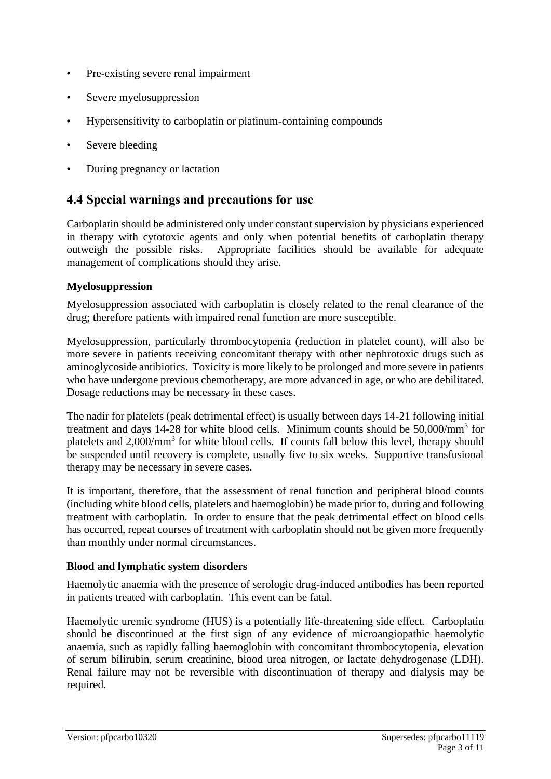- Pre-existing severe renal impairment
- Severe myelosuppression
- Hypersensitivity to carboplatin or platinum-containing compounds
- Severe bleeding
- During pregnancy or lactation

### **4.4 Special warnings and precautions for use**

Carboplatin should be administered only under constant supervision by physicians experienced in therapy with cytotoxic agents and only when potential benefits of carboplatin therapy outweigh the possible risks. Appropriate facilities should be available for adequate management of complications should they arise.

#### **Myelosuppression**

Myelosuppression associated with carboplatin is closely related to the renal clearance of the drug; therefore patients with impaired renal function are more susceptible.

Myelosuppression, particularly thrombocytopenia (reduction in platelet count), will also be more severe in patients receiving concomitant therapy with other nephrotoxic drugs such as aminoglycoside antibiotics. Toxicity is more likely to be prolonged and more severe in patients who have undergone previous chemotherapy, are more advanced in age, or who are debilitated. Dosage reductions may be necessary in these cases.

The nadir for platelets (peak detrimental effect) is usually between days 14-21 following initial treatment and days 14-28 for white blood cells. Minimum counts should be 50,000/mm<sup>3</sup> for platelets and 2,000/mm<sup>3</sup> for white blood cells. If counts fall below this level, therapy should be suspended until recovery is complete, usually five to six weeks. Supportive transfusional therapy may be necessary in severe cases.

It is important, therefore, that the assessment of renal function and peripheral blood counts (including white blood cells, platelets and haemoglobin) be made prior to, during and following treatment with carboplatin. In order to ensure that the peak detrimental effect on blood cells has occurred, repeat courses of treatment with carboplatin should not be given more frequently than monthly under normal circumstances.

#### **Blood and lymphatic system disorders**

Haemolytic anaemia with the presence of serologic drug-induced antibodies has been reported in patients treated with carboplatin. This event can be fatal.

Haemolytic uremic syndrome (HUS) is a potentially life-threatening side effect. Carboplatin should be discontinued at the first sign of any evidence of microangiopathic haemolytic anaemia, such as rapidly falling haemoglobin with concomitant thrombocytopenia, elevation of serum bilirubin, serum creatinine, blood urea nitrogen, or lactate dehydrogenase (LDH). Renal failure may not be reversible with discontinuation of therapy and dialysis may be required.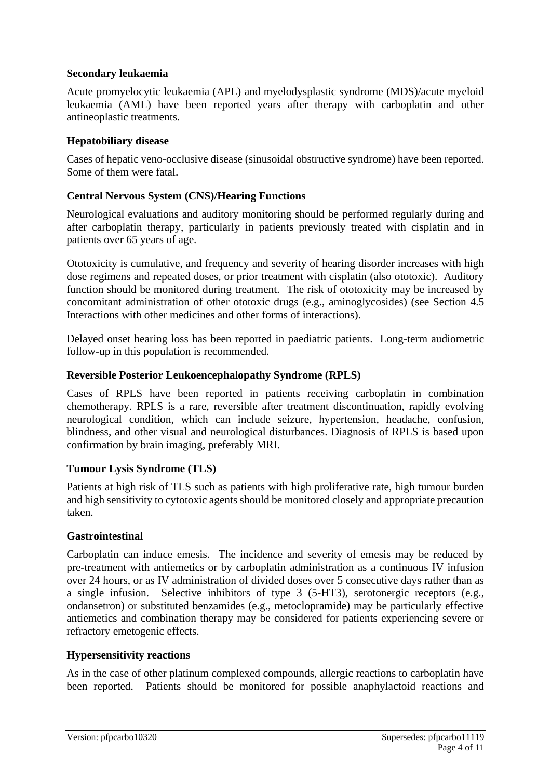#### **Secondary leukaemia**

Acute promyelocytic leukaemia (APL) and myelodysplastic syndrome (MDS)/acute myeloid leukaemia (AML) have been reported years after therapy with carboplatin and other antineoplastic treatments.

#### **Hepatobiliary disease**

Cases of hepatic veno-occlusive disease (sinusoidal obstructive syndrome) have been reported. Some of them were fatal.

#### **Central Nervous System (CNS)/Hearing Functions**

Neurological evaluations and auditory monitoring should be performed regularly during and after carboplatin therapy, particularly in patients previously treated with cisplatin and in patients over 65 years of age.

Ototoxicity is cumulative, and frequency and severity of hearing disorder increases with high dose regimens and repeated doses, or prior treatment with cisplatin (also ototoxic). Auditory function should be monitored during treatment. The risk of ototoxicity may be increased by concomitant administration of other ototoxic drugs (e.g., aminoglycosides) (see Section 4.5 Interactions with other medicines and other forms of interactions).

Delayed onset hearing loss has been reported in paediatric patients. Long-term audiometric follow-up in this population is recommended.

#### **Reversible Posterior Leukoencephalopathy Syndrome (RPLS)**

Cases of RPLS have been reported in patients receiving carboplatin in combination chemotherapy. RPLS is a rare, reversible after treatment discontinuation, rapidly evolving neurological condition, which can include seizure, hypertension, headache, confusion, blindness, and other visual and neurological disturbances. Diagnosis of RPLS is based upon confirmation by brain imaging, preferably MRI.

#### **Tumour Lysis Syndrome (TLS)**

Patients at high risk of TLS such as patients with high proliferative rate, high tumour burden and high sensitivity to cytotoxic agents should be monitored closely and appropriate precaution taken.

#### **Gastrointestinal**

Carboplatin can induce emesis. The incidence and severity of emesis may be reduced by pre-treatment with antiemetics or by carboplatin administration as a continuous IV infusion over 24 hours, or as IV administration of divided doses over 5 consecutive days rather than as a single infusion. Selective inhibitors of type 3 (5-HT3), serotonergic receptors (e.g., ondansetron) or substituted benzamides (e.g., metoclopramide) may be particularly effective antiemetics and combination therapy may be considered for patients experiencing severe or refractory emetogenic effects.

#### **Hypersensitivity reactions**

As in the case of other platinum complexed compounds, allergic reactions to carboplatin have been reported. Patients should be monitored for possible anaphylactoid reactions and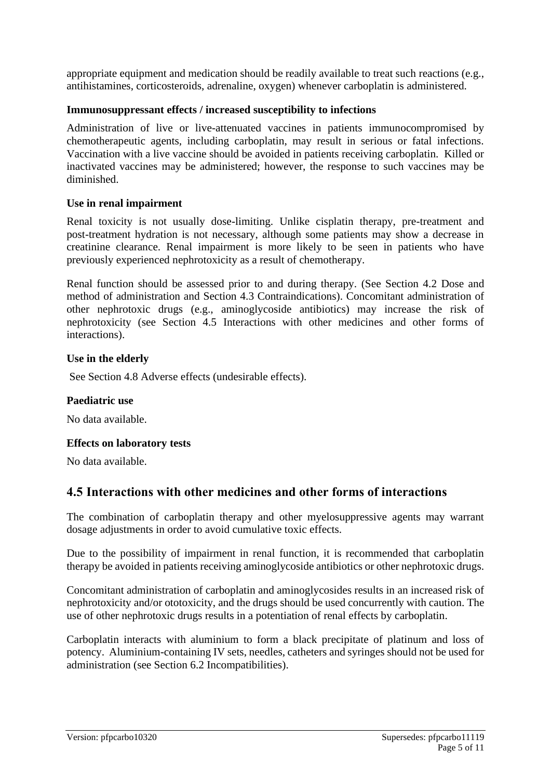appropriate equipment and medication should be readily available to treat such reactions (e.g., antihistamines, corticosteroids, adrenaline, oxygen) whenever carboplatin is administered.

#### **Immunosuppressant effects / increased susceptibility to infections**

Administration of live or live-attenuated vaccines in patients immunocompromised by chemotherapeutic agents, including carboplatin, may result in serious or fatal infections. Vaccination with a live vaccine should be avoided in patients receiving carboplatin. Killed or inactivated vaccines may be administered; however, the response to such vaccines may be diminished.

#### **Use in renal impairment**

Renal toxicity is not usually dose-limiting. Unlike cisplatin therapy, pre-treatment and post-treatment hydration is not necessary, although some patients may show a decrease in creatinine clearance. Renal impairment is more likely to be seen in patients who have previously experienced nephrotoxicity as a result of chemotherapy.

Renal function should be assessed prior to and during therapy. (See Section 4.2 Dose and method of administration and Section 4.3 Contraindications). Concomitant administration of other nephrotoxic drugs (e.g., aminoglycoside antibiotics) may increase the risk of nephrotoxicity (see Section 4.5 Interactions with other medicines and other forms of interactions).

#### **Use in the elderly**

See Section 4.8 Adverse effects (undesirable effects).

#### **Paediatric use**

No data available.

#### **Effects on laboratory tests**

No data available.

### **4.5 Interactions with other medicines and other forms of interactions**

The combination of carboplatin therapy and other myelosuppressive agents may warrant dosage adjustments in order to avoid cumulative toxic effects.

Due to the possibility of impairment in renal function, it is recommended that carboplatin therapy be avoided in patients receiving aminoglycoside antibiotics or other nephrotoxic drugs.

Concomitant administration of carboplatin and aminoglycosides results in an increased risk of nephrotoxicity and/or ototoxicity, and the drugs should be used concurrently with caution. The use of other nephrotoxic drugs results in a potentiation of renal effects by carboplatin.

Carboplatin interacts with aluminium to form a black precipitate of platinum and loss of potency. Aluminium-containing IV sets, needles, catheters and syringes should not be used for administration (see Section 6.2 Incompatibilities).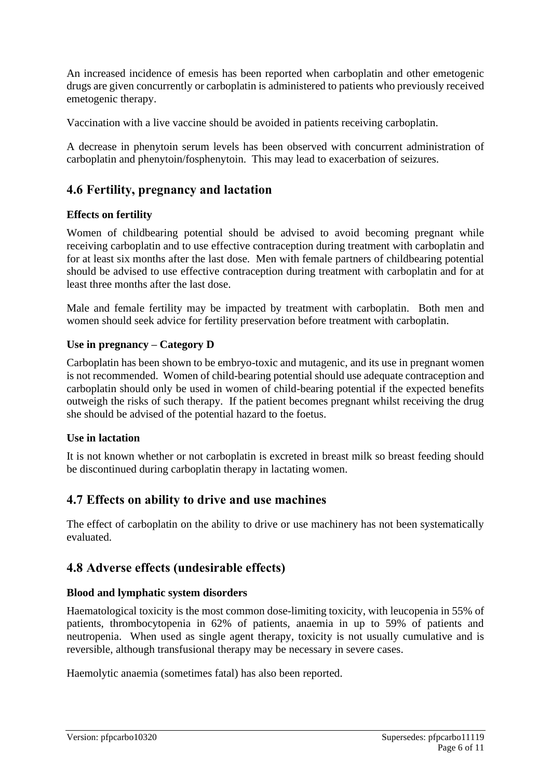An increased incidence of emesis has been reported when carboplatin and other emetogenic drugs are given concurrently or carboplatin is administered to patients who previously received emetogenic therapy.

Vaccination with a live vaccine should be avoided in patients receiving carboplatin.

A decrease in phenytoin serum levels has been observed with concurrent administration of carboplatin and phenytoin/fosphenytoin. This may lead to exacerbation of seizures.

### **4.6 Fertility, pregnancy and lactation**

#### **Effects on fertility**

Women of childbearing potential should be advised to avoid becoming pregnant while receiving carboplatin and to use effective contraception during treatment with carboplatin and for at least six months after the last dose. Men with female partners of childbearing potential should be advised to use effective contraception during treatment with carboplatin and for at least three months after the last dose.

Male and female fertility may be impacted by treatment with carboplatin. Both men and women should seek advice for fertility preservation before treatment with carboplatin.

#### **Use in pregnancy – Category D**

Carboplatin has been shown to be embryo-toxic and mutagenic, and its use in pregnant women is not recommended. Women of child-bearing potential should use adequate contraception and carboplatin should only be used in women of child-bearing potential if the expected benefits outweigh the risks of such therapy. If the patient becomes pregnant whilst receiving the drug she should be advised of the potential hazard to the foetus.

#### **Use in lactation**

It is not known whether or not carboplatin is excreted in breast milk so breast feeding should be discontinued during carboplatin therapy in lactating women.

### **4.7 Effects on ability to drive and use machines**

The effect of carboplatin on the ability to drive or use machinery has not been systematically evaluated.

### **4.8 Adverse effects (undesirable effects)**

#### **Blood and lymphatic system disorders**

Haematological toxicity is the most common dose-limiting toxicity, with leucopenia in 55% of patients, thrombocytopenia in 62% of patients, anaemia in up to 59% of patients and neutropenia. When used as single agent therapy, toxicity is not usually cumulative and is reversible, although transfusional therapy may be necessary in severe cases.

Haemolytic anaemia (sometimes fatal) has also been reported.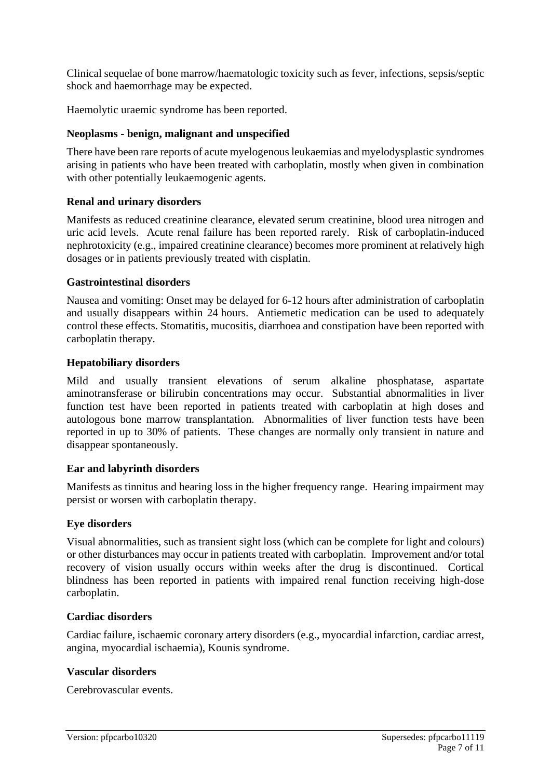Clinical sequelae of bone marrow/haematologic toxicity such as fever, infections, sepsis/septic shock and haemorrhage may be expected.

Haemolytic uraemic syndrome has been reported.

#### **Neoplasms - benign, malignant and unspecified**

There have been rare reports of acute myelogenous leukaemias and myelodysplastic syndromes arising in patients who have been treated with carboplatin, mostly when given in combination with other potentially leukaemogenic agents.

#### **Renal and urinary disorders**

Manifests as reduced creatinine clearance, elevated serum creatinine, blood urea nitrogen and uric acid levels. Acute renal failure has been reported rarely. Risk of carboplatin-induced nephrotoxicity (e.g., impaired creatinine clearance) becomes more prominent at relatively high dosages or in patients previously treated with cisplatin.

#### **Gastrointestinal disorders**

Nausea and vomiting: Onset may be delayed for 6-12 hours after administration of carboplatin and usually disappears within 24 hours. Antiemetic medication can be used to adequately control these effects. Stomatitis, mucositis, diarrhoea and constipation have been reported with carboplatin therapy.

#### **Hepatobiliary disorders**

Mild and usually transient elevations of serum alkaline phosphatase, aspartate aminotransferase or bilirubin concentrations may occur. Substantial abnormalities in liver function test have been reported in patients treated with carboplatin at high doses and autologous bone marrow transplantation. Abnormalities of liver function tests have been reported in up to 30% of patients. These changes are normally only transient in nature and disappear spontaneously.

#### **Ear and labyrinth disorders**

Manifests as tinnitus and hearing loss in the higher frequency range. Hearing impairment may persist or worsen with carboplatin therapy.

#### **Eye disorders**

Visual abnormalities, such as transient sight loss (which can be complete for light and colours) or other disturbances may occur in patients treated with carboplatin. Improvement and/or total recovery of vision usually occurs within weeks after the drug is discontinued. Cortical blindness has been reported in patients with impaired renal function receiving high-dose carboplatin.

#### **Cardiac disorders**

Cardiac failure, ischaemic coronary artery disorders (e.g., myocardial infarction, cardiac arrest, angina, myocardial ischaemia), Kounis syndrome.

#### **Vascular disorders**

Cerebrovascular events.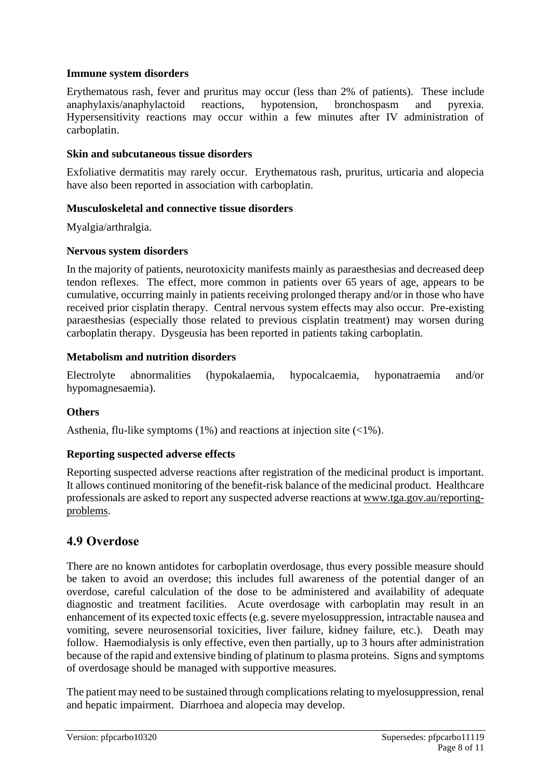#### **Immune system disorders**

Erythematous rash, fever and pruritus may occur (less than 2% of patients). These include anaphylaxis/anaphylactoid reactions, hypotension, bronchospasm and pyrexia. Hypersensitivity reactions may occur within a few minutes after IV administration of carboplatin.

#### **Skin and subcutaneous tissue disorders**

Exfoliative dermatitis may rarely occur. Erythematous rash, pruritus, urticaria and alopecia have also been reported in association with carboplatin.

#### **Musculoskeletal and connective tissue disorders**

Myalgia/arthralgia.

#### **Nervous system disorders**

In the majority of patients, neurotoxicity manifests mainly as paraesthesias and decreased deep tendon reflexes. The effect, more common in patients over 65 years of age, appears to be cumulative, occurring mainly in patients receiving prolonged therapy and/or in those who have received prior cisplatin therapy. Central nervous system effects may also occur. Pre-existing paraesthesias (especially those related to previous cisplatin treatment) may worsen during carboplatin therapy. Dysgeusia has been reported in patients taking carboplatin.

#### **Metabolism and nutrition disorders**

Electrolyte abnormalities (hypokalaemia, hypocalcaemia, hyponatraemia and/or hypomagnesaemia).

#### **Others**

Asthenia, flu-like symptoms (1%) and reactions at injection site (<1%).

#### **Reporting suspected adverse effects**

Reporting suspected adverse reactions after registration of the medicinal product is important. It allows continued monitoring of the benefit-risk balance of the medicinal product. Healthcare professionals are asked to report any suspected adverse reactions at [www.tga.gov.au/reporting](http://www.tga.gov.au/reporting-problems)[problems.](http://www.tga.gov.au/reporting-problems)

### **4.9 Overdose**

There are no known antidotes for carboplatin overdosage, thus every possible measure should be taken to avoid an overdose; this includes full awareness of the potential danger of an overdose, careful calculation of the dose to be administered and availability of adequate diagnostic and treatment facilities. Acute overdosage with carboplatin may result in an enhancement of its expected toxic effects (e.g. severe myelosuppression, intractable nausea and vomiting, severe neurosensorial toxicities, liver failure, kidney failure, etc.). Death may follow. Haemodialysis is only effective, even then partially, up to 3 hours after administration because of the rapid and extensive binding of platinum to plasma proteins. Signs and symptoms of overdosage should be managed with supportive measures.

The patient may need to be sustained through complications relating to myelosuppression, renal and hepatic impairment. Diarrhoea and alopecia may develop.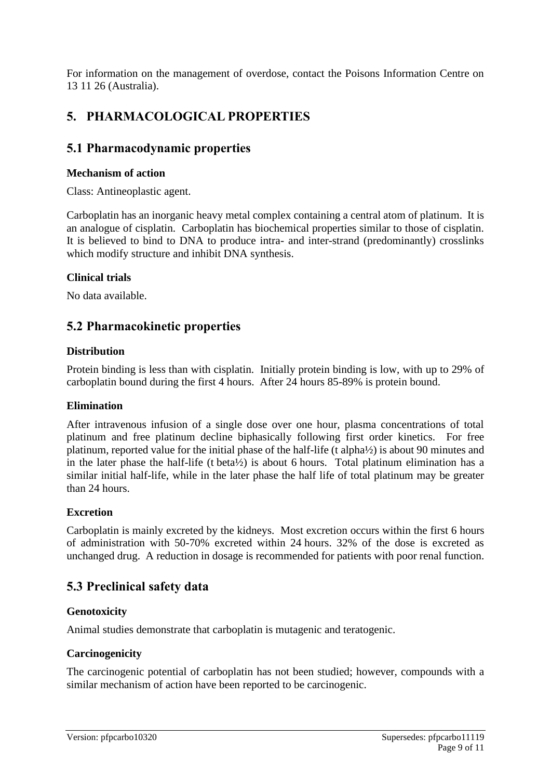For information on the management of overdose, contact the Poisons Information Centre on 13 11 26 (Australia).

# **5. PHARMACOLOGICAL PROPERTIES**

### **5.1 Pharmacodynamic properties**

#### **Mechanism of action**

Class: Antineoplastic agent.

Carboplatin has an inorganic heavy metal complex containing a central atom of platinum. It is an analogue of cisplatin. Carboplatin has biochemical properties similar to those of cisplatin. It is believed to bind to DNA to produce intra- and inter-strand (predominantly) crosslinks which modify structure and inhibit DNA synthesis.

#### **Clinical trials**

No data available.

### **5.2 Pharmacokinetic properties**

#### **Distribution**

Protein binding is less than with cisplatin. Initially protein binding is low, with up to 29% of carboplatin bound during the first 4 hours. After 24 hours 85-89% is protein bound.

#### **Elimination**

After intravenous infusion of a single dose over one hour, plasma concentrations of total platinum and free platinum decline biphasically following first order kinetics. For free platinum, reported value for the initial phase of the half-life (t alpha½) is about 90 minutes and in the later phase the half-life (t beta½) is about 6 hours. Total platinum elimination has a similar initial half-life, while in the later phase the half life of total platinum may be greater than 24 hours.

#### **Excretion**

Carboplatin is mainly excreted by the kidneys. Most excretion occurs within the first 6 hours of administration with 50-70% excreted within 24 hours. 32% of the dose is excreted as unchanged drug. A reduction in dosage is recommended for patients with poor renal function.

### **5.3 Preclinical safety data**

#### **Genotoxicity**

Animal studies demonstrate that carboplatin is mutagenic and teratogenic.

#### **Carcinogenicity**

The carcinogenic potential of carboplatin has not been studied; however, compounds with a similar mechanism of action have been reported to be carcinogenic.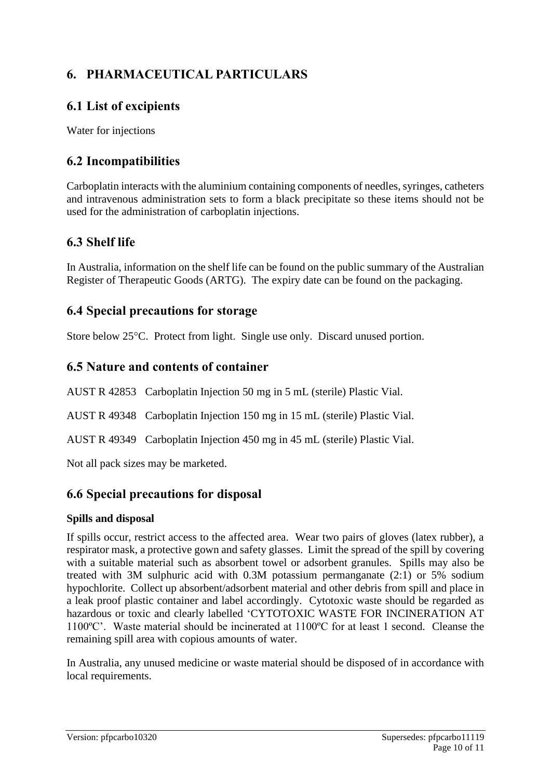# **6. PHARMACEUTICAL PARTICULARS**

# **6.1 List of excipients**

Water for injections

## **6.2 Incompatibilities**

Carboplatin interacts with the aluminium containing components of needles, syringes, catheters and intravenous administration sets to form a black precipitate so these items should not be used for the administration of carboplatin injections.

# **6.3 Shelf life**

In Australia, information on the shelf life can be found on the public summary of the Australian Register of Therapeutic Goods (ARTG). The expiry date can be found on the packaging.

### **6.4 Special precautions for storage**

Store below 25<sup>o</sup>C. Protect from light. Single use only. Discard unused portion.

### **6.5 Nature and contents of container**

AUST R 42853 Carboplatin Injection 50 mg in 5 mL (sterile) Plastic Vial.

AUST R 49348 Carboplatin Injection 150 mg in 15 mL (sterile) Plastic Vial.

AUST R 49349 Carboplatin Injection 450 mg in 45 mL (sterile) Plastic Vial.

Not all pack sizes may be marketed.

# **6.6 Special precautions for disposal**

#### **Spills and disposal**

If spills occur, restrict access to the affected area. Wear two pairs of gloves (latex rubber), a respirator mask, a protective gown and safety glasses. Limit the spread of the spill by covering with a suitable material such as absorbent towel or adsorbent granules. Spills may also be treated with 3M sulphuric acid with 0.3M potassium permanganate (2:1) or 5% sodium hypochlorite. Collect up absorbent/adsorbent material and other debris from spill and place in a leak proof plastic container and label accordingly. Cytotoxic waste should be regarded as hazardous or toxic and clearly labelled 'CYTOTOXIC WASTE FOR INCINERATION AT 1100ºC'. Waste material should be incinerated at 1100ºC for at least 1 second. Cleanse the remaining spill area with copious amounts of water.

In Australia, any unused medicine or waste material should be disposed of in accordance with local requirements.